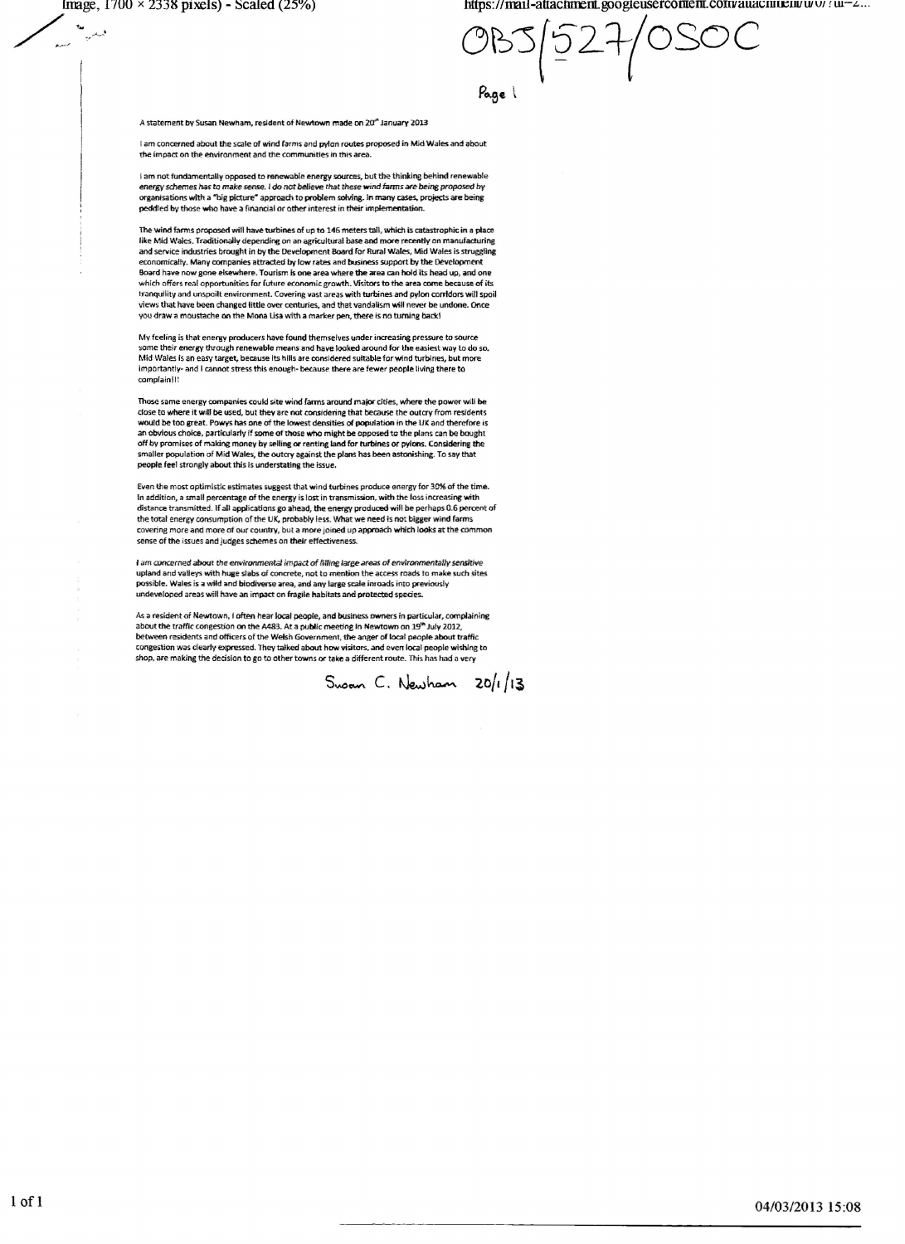$\lambda$ ,  $\lambda$ 

 $\frac{N_{\text{H}}}{N_{\text{H}}}$  https://mail-attachment.googieusercoment.com/auacnm:en/www.iu--2...

0~'5(52i--(OSOC Page 1

A statement by Susan Newham, resident of Newtown made on 20<sup>th</sup> January 2013

I am concerned about the scale of wind *(arms* and pylon routes proposed in Mid Wales and about the impact on the environment and the communities in this area.

I am not fundamentally opposed to renewable energy sources, but the thinking behind renewable *energy sd1emes has to make* sense. , do not *~ieW! that these Wind farms Me* being *proposed* by organisations with a "big picture" approach to problem solving. In many cases, projects are being peddled by those who have a financial or other interest in their implementation

1hewind farms proposed will have-tutbines of up to 146 meters 1211, which is catastrophic in a place like Mid Wales. Traditionally depending on an agricultural base and more recently on manufacturing and service industries brought in by the Development Board for Rural Wales, Mid Wales is struggling economically. Many companies attracted by low rates and business support by the Development Board have now gone elsewhere. Tourism is one area where **the ar**ea can hold its head up, and one<br>which offers real opportunities for future economic growth. Visitors to the area come because of its tranquilitv and unspoilt environment. Covering vast areas with turbines and pylon corridors will spoil views that have been changed little over centuries, and that vandalism will never be undone. Once vou draw a moustache on the Mona Usa with a marker pen, there is no turning back!

My feeling is that energy producers have found themselves under increasing pressure to source some their energy through renewable means and have looked around for the easiest way to do so<br>Mid Wales is an easy target, because its hills are considered suitable for wind turbines, but more importantly- and I cannot stress this enough- because there are fewer people living there to complain!!!

Those same energy companies could site wind farms around major cities, where the power will be<br>close to where it will be used, but they are not considering that because the outcry from resident: would be too great. Powys has one of the lowest densities at population in the UK and therefore is an obvious choice, particularly if some of those who might be opposed to the plans can be bought off by promises of making money by selling or renting land for turbines or pylons. Considering th<br>smaller population of Mid Wales, the outcry against the plans has been astonishing. To say that<br>people feel strongly about t

Even the most optimistic estimates suggest that wind turbines produce energy for 30% of the time. In addition, a small percentage of the energy is lost in transmission, with the loss increasing with distance transmitted. If all applications go ahead, the energy produced will be perhaps 0.6 percent of the total energy consumption of the UK. probably less. What we-need is not bigger wind farms covering more and more of our country, but a more joined up approach which looks at the common sense of the issues and judges schemes on their effectiveness.

I am concerned about the environmental impact of filling large areas of environmentally sensitive<br>upland and valleys with huge slabs of concrete, not to mention the access roads to make such site possible. Wales is a wild and biodiverse area, and any large scale inroads into previousl<br>undeveloped areas will have an impact on fragile habitats and protected species.

As a resident of Newtown, I often hear local people, and business owners in particular, complaining about the traffic congestion on the A483. At a public meeting in Newtown on 19<sup>m</sup> July 2012, between residents and officers of the Welsh Government, the anger of local people about traffic<br>congestion was clearly expressed. They talked about how visitors, and even local people wishing to shop, are making the dedslon to go to other towns or take a different route. This has had a very

Swan C. Newham  $20/1/13$